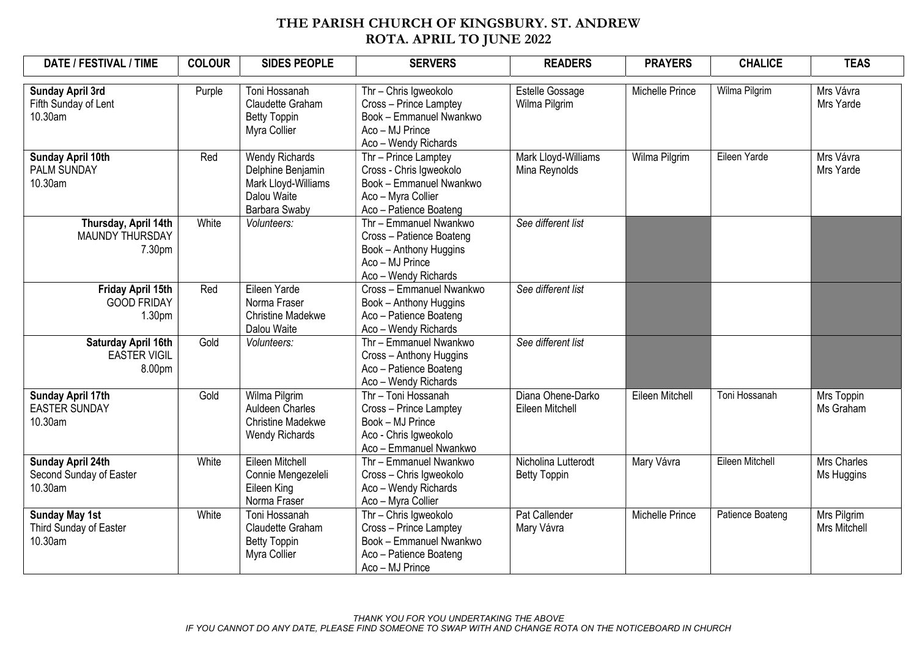## THE PARISH CHURCH OF KINGSBURY. ST. ANDREW ROTA. APRIL TO JUNE 2022

| DATE / FESTIVAL / TIME                                      | <b>COLOUR</b> | <b>SIDES PEOPLE</b>                                                                          | <b>SERVERS</b>                                                                                                             | <b>READERS</b>                             | <b>PRAYERS</b>         | <b>CHALICE</b>   | <b>TEAS</b>                      |
|-------------------------------------------------------------|---------------|----------------------------------------------------------------------------------------------|----------------------------------------------------------------------------------------------------------------------------|--------------------------------------------|------------------------|------------------|----------------------------------|
| <b>Sunday April 3rd</b><br>Fifth Sunday of Lent<br>10.30am  | Purple        | Toni Hossanah<br>Claudette Graham<br><b>Betty Toppin</b><br>Myra Collier                     | Thr - Chris Igweokolo<br>Cross - Prince Lamptey<br>Book - Emmanuel Nwankwo<br>Aco - MJ Prince<br>Aco - Wendy Richards      | Estelle Gossage<br>Wilma Pilgrim           | Michelle Prince        | Wilma Pilgrim    | Mrs Vávra<br>Mrs Yarde           |
| Sunday April 10th<br><b>PALM SUNDAY</b><br>10.30am          | Red           | Wendy Richards<br>Delphine Benjamin<br>Mark Lloyd-Williams<br>Dalou Waite<br>Barbara Swaby   | Thr - Prince Lamptey<br>Cross - Chris Igweokolo<br>Book - Emmanuel Nwankwo<br>Aco - Myra Collier<br>Aco - Patience Boateng | Mark Lloyd-Williams<br>Mina Reynolds       | Wilma Pilgrim          | Eileen Yarde     | Mrs Vávra<br>Mrs Yarde           |
| Thursday, April 14th<br>MAUNDY THURSDAY<br>7.30pm           | White         | Volunteers:                                                                                  | Thr - Emmanuel Nwankwo<br>Cross - Patience Boateng<br>Book - Anthony Huggins<br>Aco - MJ Prince<br>Aco - Wendy Richards    | See different list                         |                        |                  |                                  |
| Friday April 15th<br><b>GOOD FRIDAY</b><br>1.30pm           | Red           | Eileen Yarde<br>Norma Fraser<br><b>Christine Madekwe</b><br>Dalou Waite                      | Cross - Emmanuel Nwankwo<br>Book - Anthony Huggins<br>Aco - Patience Boateng<br>Aco - Wendy Richards                       | See different list                         |                        |                  |                                  |
| Saturday April 16th<br><b>EASTER VIGIL</b><br>8.00pm        | Gold          | Volunteers:                                                                                  | Thr - Emmanuel Nwankwo<br>Cross - Anthony Huggins<br>Aco - Patience Boateng<br>Aco - Wendy Richards                        | See different list                         |                        |                  |                                  |
| <b>Sunday April 17th</b><br><b>EASTER SUNDAY</b><br>10.30am | Gold          | Wilma Pilgrim<br><b>Auldeen Charles</b><br><b>Christine Madekwe</b><br><b>Wendy Richards</b> | Thr - Toni Hossanah<br>Cross - Prince Lamptey<br>Book - MJ Prince<br>Aco - Chris Igweokolo<br>Aco - Emmanuel Nwankwo       | Diana Ohene-Darko<br>Eileen Mitchell       | Eileen Mitchell        | Toni Hossanah    | Mrs Toppin<br>Ms Graham          |
| Sunday April 24th<br>Second Sunday of Easter<br>10.30am     | White         | Eileen Mitchell<br>Connie Mengezeleli<br>Eileen King<br>Norma Fraser                         | Thr - Emmanuel Nwankwo<br>Cross - Chris Igweokolo<br>Aco - Wendy Richards<br>Aco - Myra Collier                            | Nicholina Lutterodt<br><b>Betty Toppin</b> | Mary Vávra             | Eileen Mitchell  | <b>Mrs Charles</b><br>Ms Huggins |
| <b>Sunday May 1st</b><br>Third Sunday of Easter<br>10.30am  | White         | Toni Hossanah<br>Claudette Graham<br><b>Betty Toppin</b><br>Myra Collier                     | Thr - Chris Igweokolo<br>Cross - Prince Lamptey<br>Book - Emmanuel Nwankwo<br>Aco - Patience Boateng<br>Aco - MJ Prince    | Pat Callender<br>Mary Vávra                | <b>Michelle Prince</b> | Patience Boateng | Mrs Pilgrim<br>Mrs Mitchell      |